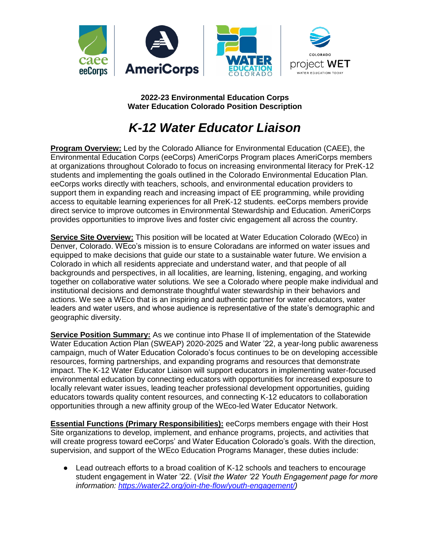

**2022-23 Environmental Education Corps Water Education Colorado Position Description**

# *K-12 Water Educator Liaison*

**Program Overview:** Led by the Colorado Alliance for Environmental Education (CAEE), the Environmental Education Corps (eeCorps) AmeriCorps Program places AmeriCorps members at organizations throughout Colorado to focus on increasing environmental literacy for PreK-12 students and implementing the goals outlined in the Colorado Environmental Education Plan. eeCorps works directly with teachers, schools, and environmental education providers to support them in expanding reach and increasing impact of EE programming, while providing access to equitable learning experiences for all PreK-12 students. eeCorps members provide direct service to improve outcomes in Environmental Stewardship and Education. AmeriCorps provides opportunities to improve lives and foster civic engagement all across the country.

**Service Site Overview:** This position will be located at Water Education Colorado (WEco) in Denver, Colorado. WEco's mission is to ensure Coloradans are informed on water issues and equipped to make decisions that guide our state to a sustainable water future. We envision a Colorado in which all residents appreciate and understand water, and that people of all backgrounds and perspectives, in all localities, are learning, listening, engaging, and working together on collaborative water solutions. We see a Colorado where people make individual and institutional decisions and demonstrate thoughtful water stewardship in their behaviors and actions. We see a WEco that is an inspiring and authentic partner for water educators, water leaders and water users, and whose audience is representative of the state's demographic and geographic diversity.

**Service Position Summary:** As we continue into Phase II of implementation of the Statewide Water Education Action Plan (SWEAP) 2020-2025 and Water '22, a year-long public awareness campaign, much of Water Education Colorado's focus continues to be on developing accessible resources, forming partnerships, and expanding programs and resources that demonstrate impact. The K-12 Water Educator Liaison will support educators in implementing water-focused environmental education by connecting educators with opportunities for increased exposure to locally relevant water issues, leading teacher professional development opportunities, guiding educators towards quality content resources, and connecting K-12 educators to collaboration opportunities through a new affinity group of the WEco-led Water Educator Network.

**Essential Functions (Primary Responsibilities):** eeCorps members engage with their Host Site organizations to develop, implement, and enhance programs, projects, and activities that will create progress toward eeCorps' and Water Education Colorado's goals. With the direction, supervision, and support of the WEco Education Programs Manager, these duties include:

● Lead outreach efforts to a broad coalition of K-12 schools and teachers to encourage student engagement in Water '22. (*Visit the Water '22 Youth Engagement page for more information: [https://water22.org/join-the-flow/youth-engagement/\)](https://water22.org/join-the-flow/youth-engagement/)*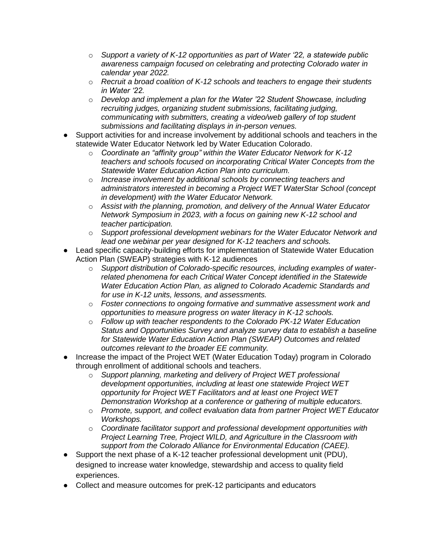- o *Support a variety of K-12 opportunities as part of Water '22, a statewide public awareness campaign focused on celebrating and protecting Colorado water in calendar year 2022.*
- o *Recruit a broad coalition of K-12 schools and teachers to engage their students in Water '22.*
- o *Develop and implement a plan for the Water '22 Student Showcase, including recruiting judges, organizing student submissions, facilitating judging, communicating with submitters, creating a video/web gallery of top student submissions and facilitating displays in in-person venues.*
- Support activities for and increase involvement by additional schools and teachers in the statewide Water Educator Network led by Water Education Colorado.
	- o *Coordinate an "affinity group" within the Water Educator Network for K-12 teachers and schools focused on incorporating Critical Water Concepts from the Statewide Water Education Action Plan into curriculum.*
	- o *Increase involvement by additional schools by connecting teachers and administrators interested in becoming a Project WET WaterStar School (concept in development) with the Water Educator Network.*
	- o *Assist with the planning, promotion, and delivery of the Annual Water Educator Network Symposium in 2023, with a focus on gaining new K-12 school and teacher participation.*
	- o *Support professional development webinars for the Water Educator Network and lead one webinar per year designed for K-12 teachers and schools.*
- Lead specific capacity-building efforts for implementation of Statewide Water Education Action Plan (SWEAP) strategies with K-12 audiences
	- o *Support distribution of Colorado-specific resources, including examples of waterrelated phenomena for each Critical Water Concept identified in the Statewide Water Education Action Plan, as aligned to Colorado Academic Standards and for use in K-12 units, lessons, and assessments.*
	- o *Foster connections to ongoing formative and summative assessment work and opportunities to measure progress on water literacy in K-12 schools.*
	- o *Follow up with teacher respondents to the Colorado PK-12 Water Education Status and Opportunities Survey and analyze survey data to establish a baseline for Statewide Water Education Action Plan (SWEAP) Outcomes and related outcomes relevant to the broader EE community.*
- Increase the impact of the Project WET (Water Education Today) program in Colorado through enrollment of additional schools and teachers.
	- o *Support planning, marketing and delivery of Project WET professional development opportunities, including at least one statewide Project WET opportunity for Project WET Facilitators and at least one Project WET Demonstration Workshop at a conference or gathering of multiple educators.*
	- o *Promote, support, and collect evaluation data from partner Project WET Educator Workshops.*
	- o *Coordinate facilitator support and professional development opportunities with Project Learning Tree, Project WILD, and Agriculture in the Classroom with support from the Colorado Alliance for Environmental Education (CAEE).*
- Support the next phase of a K-12 teacher professional development unit (PDU), designed to increase water knowledge, stewardship and access to quality field experiences.
- Collect and measure outcomes for preK-12 participants and educators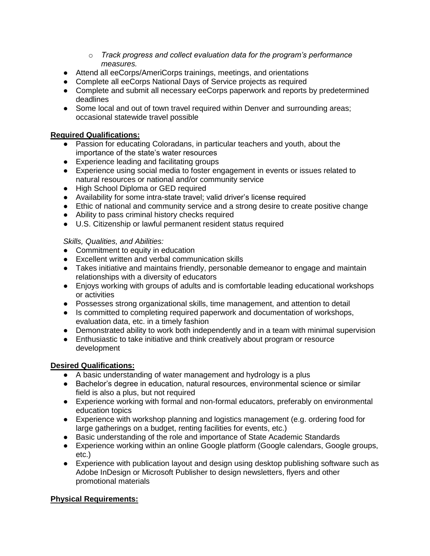- o *Track progress and collect evaluation data for the program's performance measures.*
- Attend all eeCorps/AmeriCorps trainings, meetings, and orientations
- Complete all eeCorps National Days of Service projects as required
- Complete and submit all necessary eeCorps paperwork and reports by predetermined deadlines
- Some local and out of town travel required within Denver and surrounding areas; occasional statewide travel possible

## **Required Qualifications:**

- Passion for educating Coloradans, in particular teachers and youth, about the importance of the state's water resources
- Experience leading and facilitating groups
- Experience using social media to foster engagement in events or issues related to natural resources or national and/or community service
- High School Diploma or GED required
- Availability for some intra-state travel; valid driver's license required
- Ethic of national and community service and a strong desire to create positive change
- Ability to pass criminal history checks required
- U.S. Citizenship or lawful permanent resident status required

# *Skills, Qualities, and Abilities:*

- Commitment to equity in education
- Excellent written and verbal communication skills
- Takes initiative and maintains friendly, personable demeanor to engage and maintain relationships with a diversity of educators
- Enjoys working with groups of adults and is comfortable leading educational workshops or activities
- Possesses strong organizational skills, time management, and attention to detail
- Is committed to completing required paperwork and documentation of workshops, evaluation data, etc. in a timely fashion
- Demonstrated ability to work both independently and in a team with minimal supervision
- Enthusiastic to take initiative and think creatively about program or resource development

## **Desired Qualifications:**

- A basic understanding of water management and hydrology is a plus
- Bachelor's degree in education, natural resources, environmental science or similar field is also a plus, but not required
- Experience working with formal and non-formal educators, preferably on environmental education topics
- Experience with workshop planning and logistics management (e.g. ordering food for large gatherings on a budget, renting facilities for events, etc.)
- Basic understanding of the role and importance of State Academic Standards
- Experience working within an online Google platform (Google calendars, Google groups, etc.)
- Experience with publication layout and design using desktop publishing software such as Adobe InDesign or Microsoft Publisher to design newsletters, flyers and other promotional materials

## **Physical Requirements:**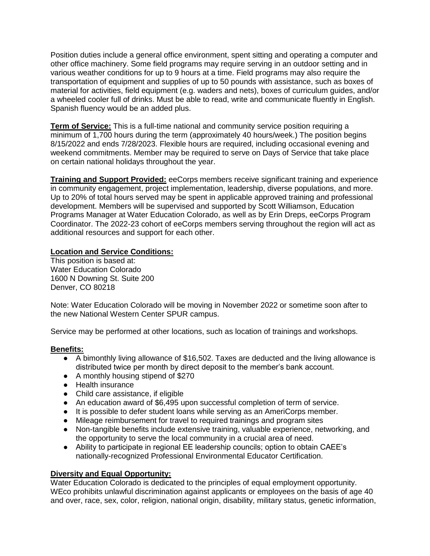Position duties include a general office environment, spent sitting and operating a computer and other office machinery. Some field programs may require serving in an outdoor setting and in various weather conditions for up to 9 hours at a time. Field programs may also require the transportation of equipment and supplies of up to 50 pounds with assistance, such as boxes of material for activities, field equipment (e.g. waders and nets), boxes of curriculum guides, and/or a wheeled cooler full of drinks. Must be able to read, write and communicate fluently in English. Spanish fluency would be an added plus.

**Term of Service:** This is a full-time national and community service position requiring a minimum of 1,700 hours during the term (approximately 40 hours/week.) The position begins 8/15/2022 and ends 7/28/2023. Flexible hours are required, including occasional evening and weekend commitments. Member may be required to serve on Days of Service that take place on certain national holidays throughout the year.

**Training and Support Provided:** eeCorps members receive significant training and experience in community engagement, project implementation, leadership, diverse populations, and more. Up to 20% of total hours served may be spent in applicable approved training and professional development. Members will be supervised and supported by Scott Williamson, Education Programs Manager at Water Education Colorado, as well as by Erin Dreps, eeCorps Program Coordinator. The 2022-23 cohort of eeCorps members serving throughout the region will act as additional resources and support for each other.

#### **Location and Service Conditions:**

This position is based at: Water Education Colorado 1600 N Downing St. Suite 200 Denver, CO 80218

Note: Water Education Colorado will be moving in November 2022 or sometime soon after to the new National Western Center SPUR campus.

Service may be performed at other locations, such as location of trainings and workshops.

#### **Benefits:**

- A bimonthly living allowance of \$16,502. Taxes are deducted and the living allowance is distributed twice per month by direct deposit to the member's bank account.
- A monthly housing stipend of \$270
- Health insurance
- Child care assistance, if eligible
- An education award of \$6,495 upon successful completion of term of service.
- It is possible to defer student loans while serving as an AmeriCorps member.
- Mileage reimbursement for travel to required trainings and program sites
- Non-tangible benefits include extensive training, valuable experience, networking, and the opportunity to serve the local community in a crucial area of need.
- Ability to participate in regional EE leadership councils; option to obtain CAEE's nationally-recognized Professional Environmental Educator Certification.

#### **Diversity and Equal Opportunity:**

Water Education Colorado is dedicated to the principles of equal employment opportunity. WEco prohibits unlawful discrimination against applicants or employees on the basis of age 40 and over, race, sex, color, religion, national origin, disability, military status, genetic information,